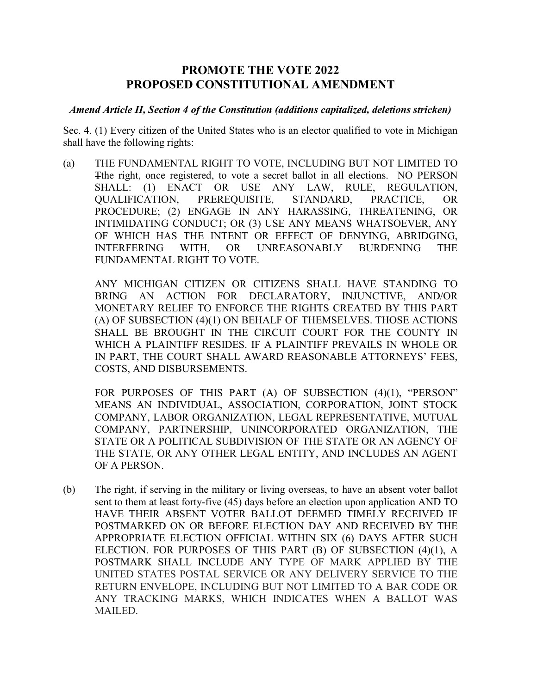## **PROMOTE THE VOTE 2022 PROPOSED CONSTITUTIONAL AMENDMENT**

## *Amend Article II, Section 4 of the Constitution (additions capitalized, deletions stricken)*

Sec. 4. (1) Every citizen of the United States who is an elector qualified to vote in Michigan shall have the following rights:

(a) THE FUNDAMENTAL RIGHT TO VOTE, INCLUDING BUT NOT LIMITED TO Tthe right, once registered, to vote a secret ballot in all elections. NO PERSON SHALL: (1) ENACT OR USE ANY LAW, RULE, REGULATION, QUALIFICATION, PREREQUISITE, STANDARD, PRACTICE, OR PROCEDURE; (2) ENGAGE IN ANY HARASSING, THREATENING, OR INTIMIDATING CONDUCT; OR (3) USE ANY MEANS WHATSOEVER, ANY OF WHICH HAS THE INTENT OR EFFECT OF DENYING, ABRIDGING, INTERFERING WITH, OR UNREASONABLY BURDENING THE FUNDAMENTAL RIGHT TO VOTE.

ANY MICHIGAN CITIZEN OR CITIZENS SHALL HAVE STANDING TO BRING AN ACTION FOR DECLARATORY, INJUNCTIVE, AND/OR MONETARY RELIEF TO ENFORCE THE RIGHTS CREATED BY THIS PART (A) OF SUBSECTION (4)(1) ON BEHALF OF THEMSELVES. THOSE ACTIONS SHALL BE BROUGHT IN THE CIRCUIT COURT FOR THE COUNTY IN WHICH A PLAINTIFF RESIDES. IF A PLAINTIFF PREVAILS IN WHOLE OR IN PART, THE COURT SHALL AWARD REASONABLE ATTORNEYS' FEES, COSTS, AND DISBURSEMENTS.

FOR PURPOSES OF THIS PART (A) OF SUBSECTION (4)(1), "PERSON" MEANS AN INDIVIDUAL, ASSOCIATION, CORPORATION, JOINT STOCK COMPANY, LABOR ORGANIZATION, LEGAL REPRESENTATIVE, MUTUAL COMPANY, PARTNERSHIP, UNINCORPORATED ORGANIZATION, THE STATE OR A POLITICAL SUBDIVISION OF THE STATE OR AN AGENCY OF THE STATE, OR ANY OTHER LEGAL ENTITY, AND INCLUDES AN AGENT OF A PERSON.

(b) The right, if serving in the military or living overseas, to have an absent voter ballot sent to them at least forty-five (45) days before an election upon application AND TO HAVE THEIR ABSENT VOTER BALLOT DEEMED TIMELY RECEIVED IF POSTMARKED ON OR BEFORE ELECTION DAY AND RECEIVED BY THE APPROPRIATE ELECTION OFFICIAL WITHIN SIX (6) DAYS AFTER SUCH ELECTION. FOR PURPOSES OF THIS PART (B) OF SUBSECTION (4)(1), A POSTMARK SHALL INCLUDE ANY TYPE OF MARK APPLIED BY THE UNITED STATES POSTAL SERVICE OR ANY DELIVERY SERVICE TO THE RETURN ENVELOPE, INCLUDING BUT NOT LIMITED TO A BAR CODE OR ANY TRACKING MARKS, WHICH INDICATES WHEN A BALLOT WAS MAILED.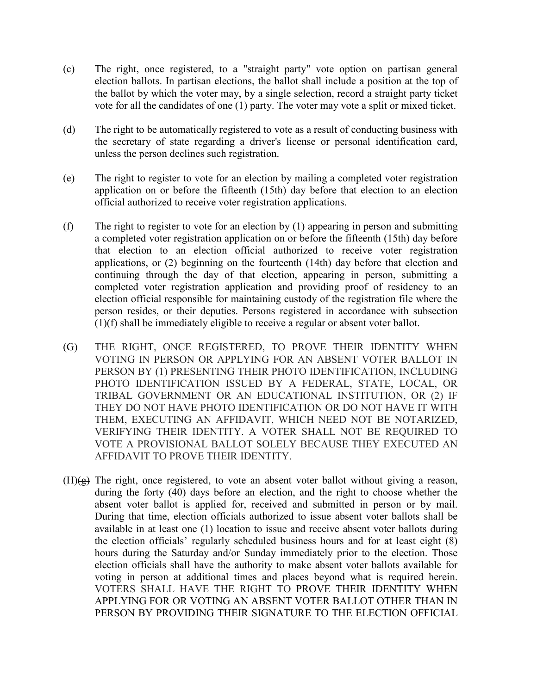- (c) The right, once registered, to a "straight party" vote option on partisan general election ballots. In partisan elections, the ballot shall include a position at the top of the ballot by which the voter may, by a single selection, record a straight party ticket vote for all the candidates of one (1) party. The voter may vote a split or mixed ticket.
- (d) The right to be automatically registered to vote as a result of conducting business with the secretary of state regarding a driver's license or personal identification card, unless the person declines such registration.
- (e) The right to register to vote for an election by mailing a completed voter registration application on or before the fifteenth (15th) day before that election to an election official authorized to receive voter registration applications.
- (f) The right to register to vote for an election by (1) appearing in person and submitting a completed voter registration application on or before the fifteenth (15th) day before that election to an election official authorized to receive voter registration applications, or (2) beginning on the fourteenth (14th) day before that election and continuing through the day of that election, appearing in person, submitting a completed voter registration application and providing proof of residency to an election official responsible for maintaining custody of the registration file where the person resides, or their deputies. Persons registered in accordance with subsection (1)(f) shall be immediately eligible to receive a regular or absent voter ballot.
- (G) THE RIGHT, ONCE REGISTERED, TO PROVE THEIR IDENTITY WHEN VOTING IN PERSON OR APPLYING FOR AN ABSENT VOTER BALLOT IN PERSON BY (1) PRESENTING THEIR PHOTO IDENTIFICATION, INCLUDING PHOTO IDENTIFICATION ISSUED BY A FEDERAL, STATE, LOCAL, OR TRIBAL GOVERNMENT OR AN EDUCATIONAL INSTITUTION, OR (2) IF THEY DO NOT HAVE PHOTO IDENTIFICATION OR DO NOT HAVE IT WITH THEM, EXECUTING AN AFFIDAVIT, WHICH NEED NOT BE NOTARIZED, VERIFYING THEIR IDENTITY. A VOTER SHALL NOT BE REQUIRED TO VOTE A PROVISIONAL BALLOT SOLELY BECAUSE THEY EXECUTED AN AFFIDAVIT TO PROVE THEIR IDENTITY.
- $(H)(\overline{g})$  The right, once registered, to vote an absent voter ballot without giving a reason, during the forty (40) days before an election, and the right to choose whether the absent voter ballot is applied for, received and submitted in person or by mail. During that time, election officials authorized to issue absent voter ballots shall be available in at least one (1) location to issue and receive absent voter ballots during the election officials' regularly scheduled business hours and for at least eight (8) hours during the Saturday and/or Sunday immediately prior to the election. Those election officials shall have the authority to make absent voter ballots available for voting in person at additional times and places beyond what is required herein. VOTERS SHALL HAVE THE RIGHT TO PROVE THEIR IDENTITY WHEN APPLYING FOR OR VOTING AN ABSENT VOTER BALLOT OTHER THAN IN PERSON BY PROVIDING THEIR SIGNATURE TO THE ELECTION OFFICIAL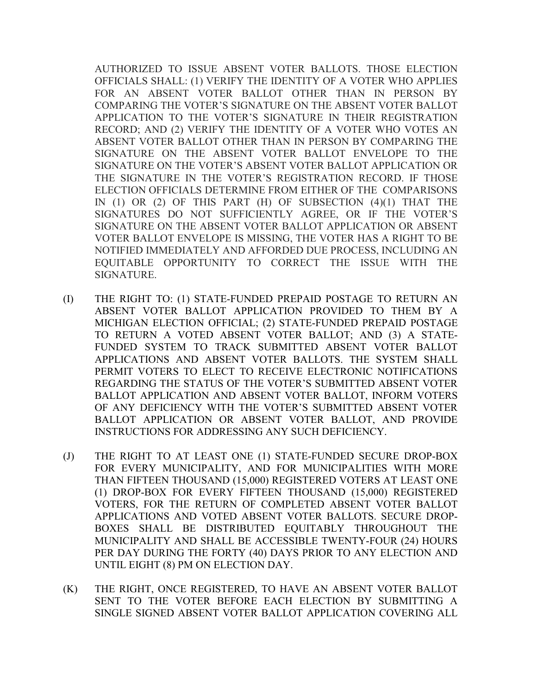AUTHORIZED TO ISSUE ABSENT VOTER BALLOTS. THOSE ELECTION OFFICIALS SHALL: (1) VERIFY THE IDENTITY OF A VOTER WHO APPLIES FOR AN ABSENT VOTER BALLOT OTHER THAN IN PERSON BY COMPARING THE VOTER'S SIGNATURE ON THE ABSENT VOTER BALLOT APPLICATION TO THE VOTER'S SIGNATURE IN THEIR REGISTRATION RECORD; AND (2) VERIFY THE IDENTITY OF A VOTER WHO VOTES AN ABSENT VOTER BALLOT OTHER THAN IN PERSON BY COMPARING THE SIGNATURE ON THE ABSENT VOTER BALLOT ENVELOPE TO THE SIGNATURE ON THE VOTER'S ABSENT VOTER BALLOT APPLICATION OR THE SIGNATURE IN THE VOTER'S REGISTRATION RECORD. IF THOSE ELECTION OFFICIALS DETERMINE FROM EITHER OF THE COMPARISONS IN (1) OR (2) OF THIS PART (H) OF SUBSECTION (4)(1) THAT THE SIGNATURES DO NOT SUFFICIENTLY AGREE, OR IF THE VOTER'S SIGNATURE ON THE ABSENT VOTER BALLOT APPLICATION OR ABSENT VOTER BALLOT ENVELOPE IS MISSING, THE VOTER HAS A RIGHT TO BE NOTIFIED IMMEDIATELY AND AFFORDED DUE PROCESS, INCLUDING AN EQUITABLE OPPORTUNITY TO CORRECT THE ISSUE WITH THE SIGNATURE.

- (I) THE RIGHT TO: (1) STATE-FUNDED PREPAID POSTAGE TO RETURN AN ABSENT VOTER BALLOT APPLICATION PROVIDED TO THEM BY A MICHIGAN ELECTION OFFICIAL; (2) STATE-FUNDED PREPAID POSTAGE TO RETURN A VOTED ABSENT VOTER BALLOT; AND (3) A STATE-FUNDED SYSTEM TO TRACK SUBMITTED ABSENT VOTER BALLOT APPLICATIONS AND ABSENT VOTER BALLOTS. THE SYSTEM SHALL PERMIT VOTERS TO ELECT TO RECEIVE ELECTRONIC NOTIFICATIONS REGARDING THE STATUS OF THE VOTER'S SUBMITTED ABSENT VOTER BALLOT APPLICATION AND ABSENT VOTER BALLOT, INFORM VOTERS OF ANY DEFICIENCY WITH THE VOTER'S SUBMITTED ABSENT VOTER BALLOT APPLICATION OR ABSENT VOTER BALLOT, AND PROVIDE INSTRUCTIONS FOR ADDRESSING ANY SUCH DEFICIENCY.
- (J) THE RIGHT TO AT LEAST ONE (1) STATE-FUNDED SECURE DROP-BOX FOR EVERY MUNICIPALITY, AND FOR MUNICIPALITIES WITH MORE THAN FIFTEEN THOUSAND (15,000) REGISTERED VOTERS AT LEAST ONE (1) DROP-BOX FOR EVERY FIFTEEN THOUSAND (15,000) REGISTERED VOTERS, FOR THE RETURN OF COMPLETED ABSENT VOTER BALLOT APPLICATIONS AND VOTED ABSENT VOTER BALLOTS. SECURE DROP-BOXES SHALL BE DISTRIBUTED EQUITABLY THROUGHOUT THE MUNICIPALITY AND SHALL BE ACCESSIBLE TWENTY-FOUR (24) HOURS PER DAY DURING THE FORTY (40) DAYS PRIOR TO ANY ELECTION AND UNTIL EIGHT (8) PM ON ELECTION DAY.
- (K) THE RIGHT, ONCE REGISTERED, TO HAVE AN ABSENT VOTER BALLOT SENT TO THE VOTER BEFORE EACH ELECTION BY SUBMITTING A SINGLE SIGNED ABSENT VOTER BALLOT APPLICATION COVERING ALL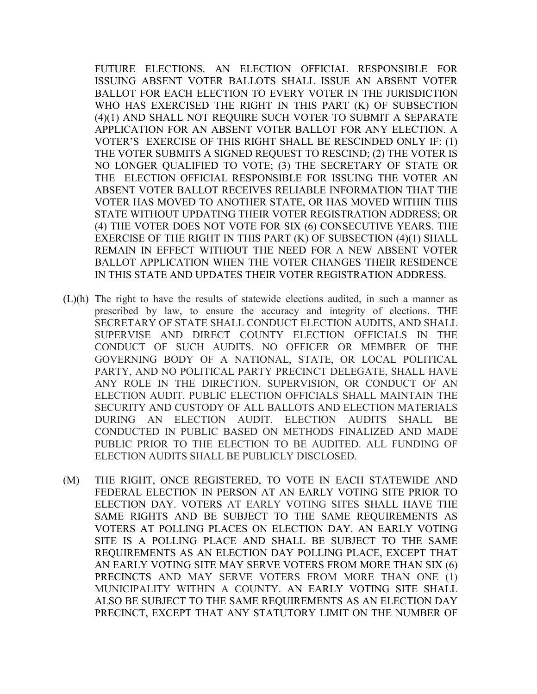FUTURE ELECTIONS. AN ELECTION OFFICIAL RESPONSIBLE FOR ISSUING ABSENT VOTER BALLOTS SHALL ISSUE AN ABSENT VOTER BALLOT FOR EACH ELECTION TO EVERY VOTER IN THE JURISDICTION WHO HAS EXERCISED THE RIGHT IN THIS PART (K) OF SUBSECTION (4)(1) AND SHALL NOT REQUIRE SUCH VOTER TO SUBMIT A SEPARATE APPLICATION FOR AN ABSENT VOTER BALLOT FOR ANY ELECTION. A VOTER'S EXERCISE OF THIS RIGHT SHALL BE RESCINDED ONLY IF: (1) THE VOTER SUBMITS A SIGNED REQUEST TO RESCIND; (2) THE VOTER IS NO LONGER QUALIFIED TO VOTE; (3) THE SECRETARY OF STATE OR THE ELECTION OFFICIAL RESPONSIBLE FOR ISSUING THE VOTER AN ABSENT VOTER BALLOT RECEIVES RELIABLE INFORMATION THAT THE VOTER HAS MOVED TO ANOTHER STATE, OR HAS MOVED WITHIN THIS STATE WITHOUT UPDATING THEIR VOTER REGISTRATION ADDRESS; OR (4) THE VOTER DOES NOT VOTE FOR SIX (6) CONSECUTIVE YEARS. THE EXERCISE OF THE RIGHT IN THIS PART (K) OF SUBSECTION (4)(1) SHALL REMAIN IN EFFECT WITHOUT THE NEED FOR A NEW ABSENT VOTER BALLOT APPLICATION WHEN THE VOTER CHANGES THEIR RESIDENCE IN THIS STATE AND UPDATES THEIR VOTER REGISTRATION ADDRESS.

- $(L)$ (h) The right to have the results of statewide elections audited, in such a manner as prescribed by law, to ensure the accuracy and integrity of elections. THE SECRETARY OF STATE SHALL CONDUCT ELECTION AUDITS, AND SHALL SUPERVISE AND DIRECT COUNTY ELECTION OFFICIALS IN THE CONDUCT OF SUCH AUDITS. NO OFFICER OR MEMBER OF THE GOVERNING BODY OF A NATIONAL, STATE, OR LOCAL POLITICAL PARTY, AND NO POLITICAL PARTY PRECINCT DELEGATE, SHALL HAVE ANY ROLE IN THE DIRECTION, SUPERVISION, OR CONDUCT OF AN ELECTION AUDIT. PUBLIC ELECTION OFFICIALS SHALL MAINTAIN THE SECURITY AND CUSTODY OF ALL BALLOTS AND ELECTION MATERIALS DURING AN ELECTION AUDIT. ELECTION AUDITS SHALL BE CONDUCTED IN PUBLIC BASED ON METHODS FINALIZED AND MADE PUBLIC PRIOR TO THE ELECTION TO BE AUDITED. ALL FUNDING OF ELECTION AUDITS SHALL BE PUBLICLY DISCLOSED.
- (M) THE RIGHT, ONCE REGISTERED, TO VOTE IN EACH STATEWIDE AND FEDERAL ELECTION IN PERSON AT AN EARLY VOTING SITE PRIOR TO ELECTION DAY. VOTERS AT EARLY VOTING SITES SHALL HAVE THE SAME RIGHTS AND BE SUBJECT TO THE SAME REQUIREMENTS AS VOTERS AT POLLING PLACES ON ELECTION DAY. AN EARLY VOTING SITE IS A POLLING PLACE AND SHALL BE SUBJECT TO THE SAME REQUIREMENTS AS AN ELECTION DAY POLLING PLACE, EXCEPT THAT AN EARLY VOTING SITE MAY SERVE VOTERS FROM MORE THAN SIX (6) PRECINCTS AND MAY SERVE VOTERS FROM MORE THAN ONE (1) MUNICIPALITY WITHIN A COUNTY. AN EARLY VOTING SITE SHALL ALSO BE SUBJECT TO THE SAME REQUIREMENTS AS AN ELECTION DAY PRECINCT, EXCEPT THAT ANY STATUTORY LIMIT ON THE NUMBER OF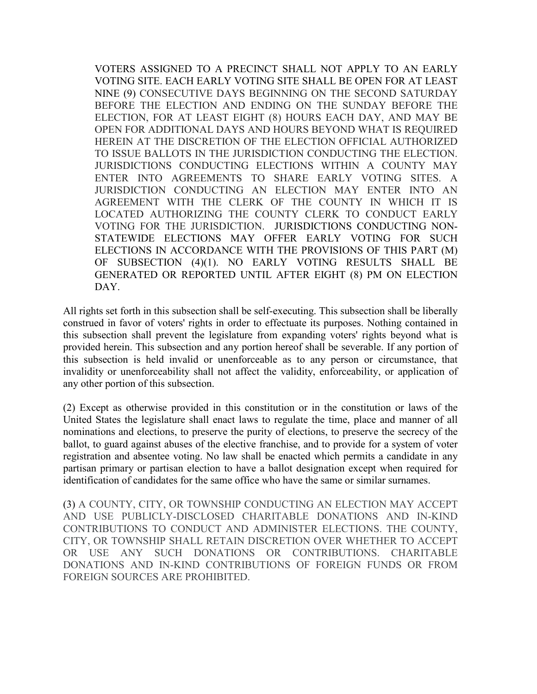VOTERS ASSIGNED TO A PRECINCT SHALL NOT APPLY TO AN EARLY VOTING SITE. EACH EARLY VOTING SITE SHALL BE OPEN FOR AT LEAST NINE (9) CONSECUTIVE DAYS BEGINNING ON THE SECOND SATURDAY BEFORE THE ELECTION AND ENDING ON THE SUNDAY BEFORE THE ELECTION, FOR AT LEAST EIGHT (8) HOURS EACH DAY, AND MAY BE OPEN FOR ADDITIONAL DAYS AND HOURS BEYOND WHAT IS REQUIRED HEREIN AT THE DISCRETION OF THE ELECTION OFFICIAL AUTHORIZED TO ISSUE BALLOTS IN THE JURISDICTION CONDUCTING THE ELECTION. JURISDICTIONS CONDUCTING ELECTIONS WITHIN A COUNTY MAY ENTER INTO AGREEMENTS TO SHARE EARLY VOTING SITES. A JURISDICTION CONDUCTING AN ELECTION MAY ENTER INTO AN AGREEMENT WITH THE CLERK OF THE COUNTY IN WHICH IT IS LOCATED AUTHORIZING THE COUNTY CLERK TO CONDUCT EARLY VOTING FOR THE JURISDICTION. JURISDICTIONS CONDUCTING NON-STATEWIDE ELECTIONS MAY OFFER EARLY VOTING FOR SUCH ELECTIONS IN ACCORDANCE WITH THE PROVISIONS OF THIS PART (M) OF SUBSECTION (4)(1). NO EARLY VOTING RESULTS SHALL BE GENERATED OR REPORTED UNTIL AFTER EIGHT (8) PM ON ELECTION DAY.

All rights set forth in this subsection shall be self-executing. This subsection shall be liberally construed in favor of voters' rights in order to effectuate its purposes. Nothing contained in this subsection shall prevent the legislature from expanding voters' rights beyond what is provided herein. This subsection and any portion hereof shall be severable. If any portion of this subsection is held invalid or unenforceable as to any person or circumstance, that invalidity or unenforceability shall not affect the validity, enforceability, or application of any other portion of this subsection.

(2) Except as otherwise provided in this constitution or in the constitution or laws of the United States the legislature shall enact laws to regulate the time, place and manner of all nominations and elections, to preserve the purity of elections, to preserve the secrecy of the ballot, to guard against abuses of the elective franchise, and to provide for a system of voter registration and absentee voting. No law shall be enacted which permits a candidate in any partisan primary or partisan election to have a ballot designation except when required for identification of candidates for the same office who have the same or similar surnames.

(3) A COUNTY, CITY, OR TOWNSHIP CONDUCTING AN ELECTION MAY ACCEPT AND USE PUBLICLY-DISCLOSED CHARITABLE DONATIONS AND IN-KIND CONTRIBUTIONS TO CONDUCT AND ADMINISTER ELECTIONS. THE COUNTY, CITY, OR TOWNSHIP SHALL RETAIN DISCRETION OVER WHETHER TO ACCEPT OR USE ANY SUCH DONATIONS OR CONTRIBUTIONS. CHARITABLE DONATIONS AND IN-KIND CONTRIBUTIONS OF FOREIGN FUNDS OR FROM FOREIGN SOURCES ARE PROHIBITED.